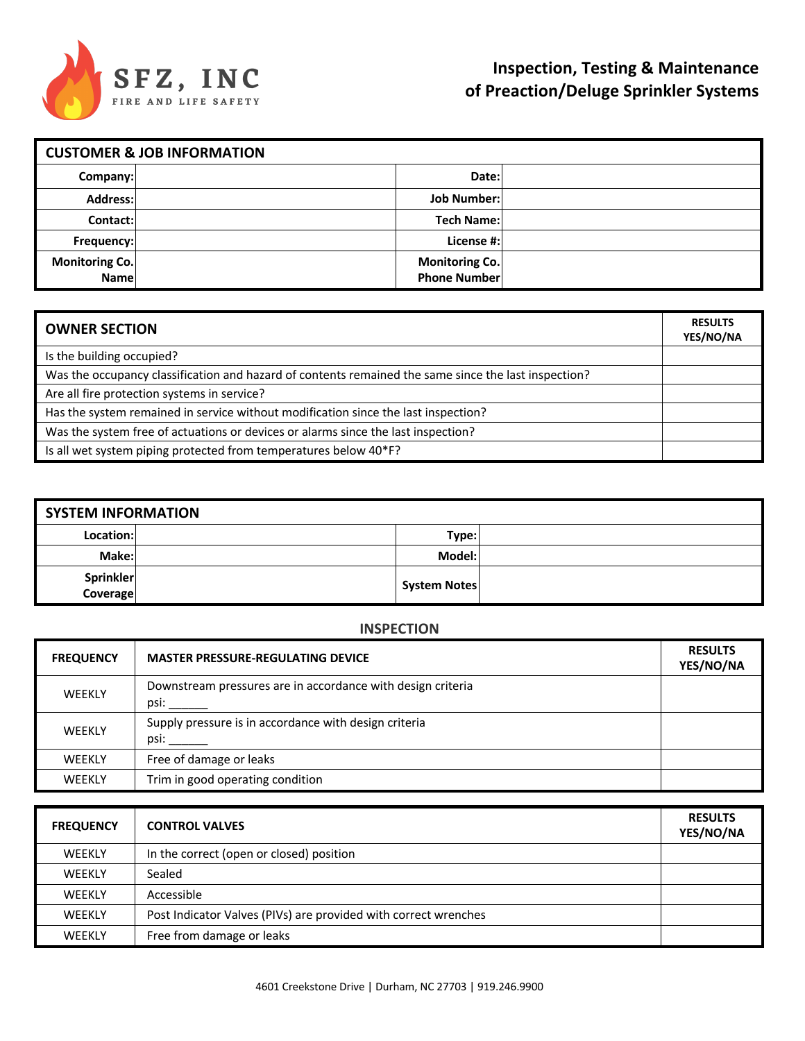

| <b>CUSTOMER &amp; JOB INFORMATION</b> |  |                                              |  |  |
|---------------------------------------|--|----------------------------------------------|--|--|
| Company:                              |  | Date:                                        |  |  |
| Address:                              |  | <b>Job Number:</b>                           |  |  |
| Contact:                              |  | <b>Tech Name:</b>                            |  |  |
| Frequency:                            |  | License #:                                   |  |  |
| Monitoring Co.<br>Name                |  | <b>Monitoring Co.</b><br><b>Phone Number</b> |  |  |

| <b>OWNER SECTION</b>                                                                                 | <b>RESULTS</b><br>YES/NO/NA |
|------------------------------------------------------------------------------------------------------|-----------------------------|
| Is the building occupied?                                                                            |                             |
| Was the occupancy classification and hazard of contents remained the same since the last inspection? |                             |
| Are all fire protection systems in service?                                                          |                             |
| Has the system remained in service without modification since the last inspection?                   |                             |
| Was the system free of actuations or devices or alarms since the last inspection?                    |                             |
| Is all wet system piping protected from temperatures below 40*F?                                     |                             |

| <b>SYSTEM INFORMATION</b> |  |              |  |  |
|---------------------------|--|--------------|--|--|
| Location:                 |  | Type:        |  |  |
| Make:                     |  | Model:       |  |  |
| Sprinkler<br>Coverage     |  | System Notes |  |  |

#### **INSPECTION**

| <b>FREQUENCY</b> | <b>MASTER PRESSURE-REGULATING DEVICE</b>                            | <b>RESULTS</b><br>YES/NO/NA |
|------------------|---------------------------------------------------------------------|-----------------------------|
| <b>WEEKLY</b>    | Downstream pressures are in accordance with design criteria<br>psi: |                             |
| <b>WEEKLY</b>    | Supply pressure is in accordance with design criteria<br>psi:       |                             |
| <b>WEEKLY</b>    | Free of damage or leaks                                             |                             |
| <b>WEEKLY</b>    | Trim in good operating condition                                    |                             |

| <b>FREQUENCY</b> | <b>CONTROL VALVES</b>                                           | <b>RESULTS</b><br>YES/NO/NA |
|------------------|-----------------------------------------------------------------|-----------------------------|
| <b>WEEKLY</b>    | In the correct (open or closed) position                        |                             |
| <b>WEEKLY</b>    | Sealed                                                          |                             |
| <b>WEEKLY</b>    | Accessible                                                      |                             |
| <b>WEEKLY</b>    | Post Indicator Valves (PIVs) are provided with correct wrenches |                             |
| <b>WEEKLY</b>    | Free from damage or leaks                                       |                             |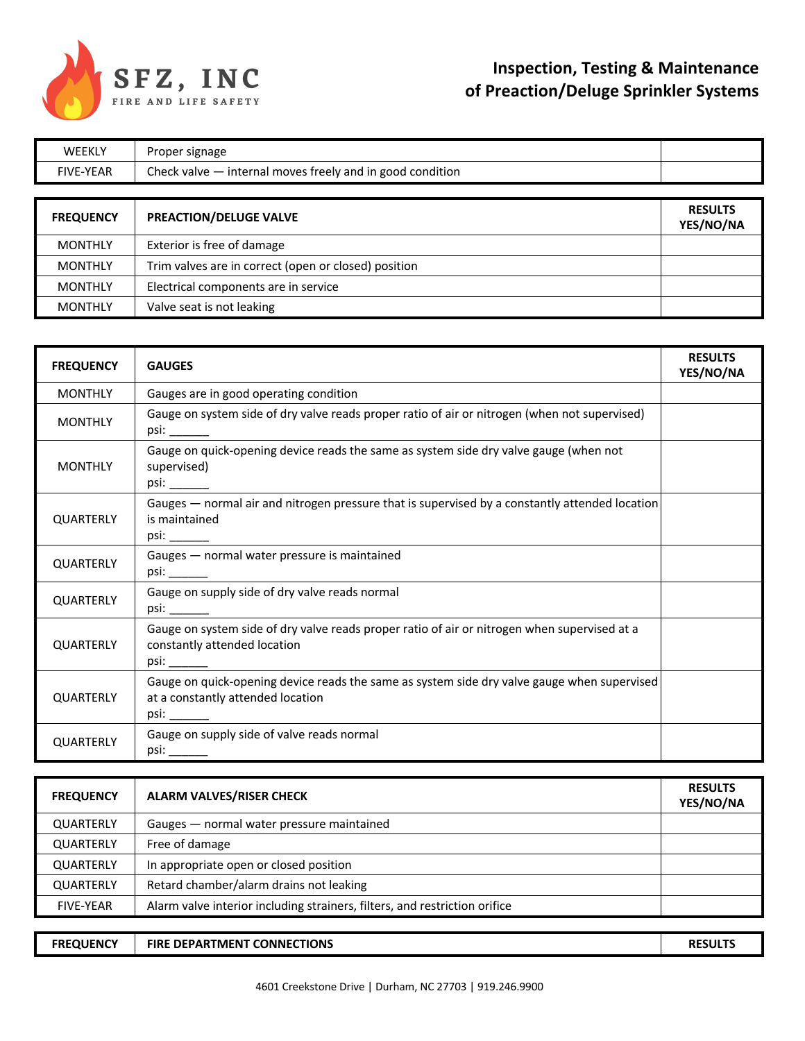

| <b>WEEKLY</b>    | Proper signage                                            |                             |
|------------------|-----------------------------------------------------------|-----------------------------|
| <b>FIVE-YEAR</b> | Check valve - internal moves freely and in good condition |                             |
|                  |                                                           |                             |
| <b>FREQUENCY</b> | PREACTION/DELUGE VALVE                                    | <b>RESULTS</b><br>YES/NO/NA |
| <b>MONTHLY</b>   | Exterior is free of damage                                |                             |
| <b>MONTHLY</b>   | Trim valves are in correct (open or closed) position      |                             |
| <b>MONTHLY</b>   | Electrical components are in service                      |                             |
| <b>MONTHLY</b>   | Valve seat is not leaking                                 |                             |

| <b>FREQUENCY</b> | <b>GAUGES</b>                                                                                                                    | <b>RESULTS</b><br>YES/NO/NA |
|------------------|----------------------------------------------------------------------------------------------------------------------------------|-----------------------------|
| <b>MONTHLY</b>   | Gauges are in good operating condition                                                                                           |                             |
| <b>MONTHLY</b>   | Gauge on system side of dry valve reads proper ratio of air or nitrogen (when not supervised)                                    |                             |
| <b>MONTHLY</b>   | Gauge on quick-opening device reads the same as system side dry valve gauge (when not<br>supervised)                             |                             |
| <b>QUARTERLY</b> | Gauges - normal air and nitrogen pressure that is supervised by a constantly attended location<br>is maintained                  |                             |
| <b>QUARTERLY</b> | Gauges - normal water pressure is maintained                                                                                     |                             |
| <b>QUARTERLY</b> | Gauge on supply side of dry valve reads normal                                                                                   |                             |
| <b>QUARTERLY</b> | Gauge on system side of dry valve reads proper ratio of air or nitrogen when supervised at a<br>constantly attended location     |                             |
| <b>QUARTERLY</b> | Gauge on quick-opening device reads the same as system side dry valve gauge when supervised<br>at a constantly attended location |                             |
| <b>QUARTERLY</b> | Gauge on supply side of valve reads normal<br>psi: ________                                                                      |                             |

| <b>FREQUENCY</b> | <b>ALARM VALVES/RISER CHECK</b>                                            | <b>RESULTS</b><br>YES/NO/NA |
|------------------|----------------------------------------------------------------------------|-----------------------------|
| <b>QUARTERLY</b> | Gauges - normal water pressure maintained                                  |                             |
| <b>QUARTERLY</b> | Free of damage                                                             |                             |
| QUARTERLY        | In appropriate open or closed position                                     |                             |
| <b>QUARTERLY</b> | Retard chamber/alarm drains not leaking                                    |                             |
| <b>FIVE-YEAR</b> | Alarm valve interior including strainers, filters, and restriction orifice |                             |

**FREQUENCY FIRE DEPARTMENT CONNECTIONS RESULTS**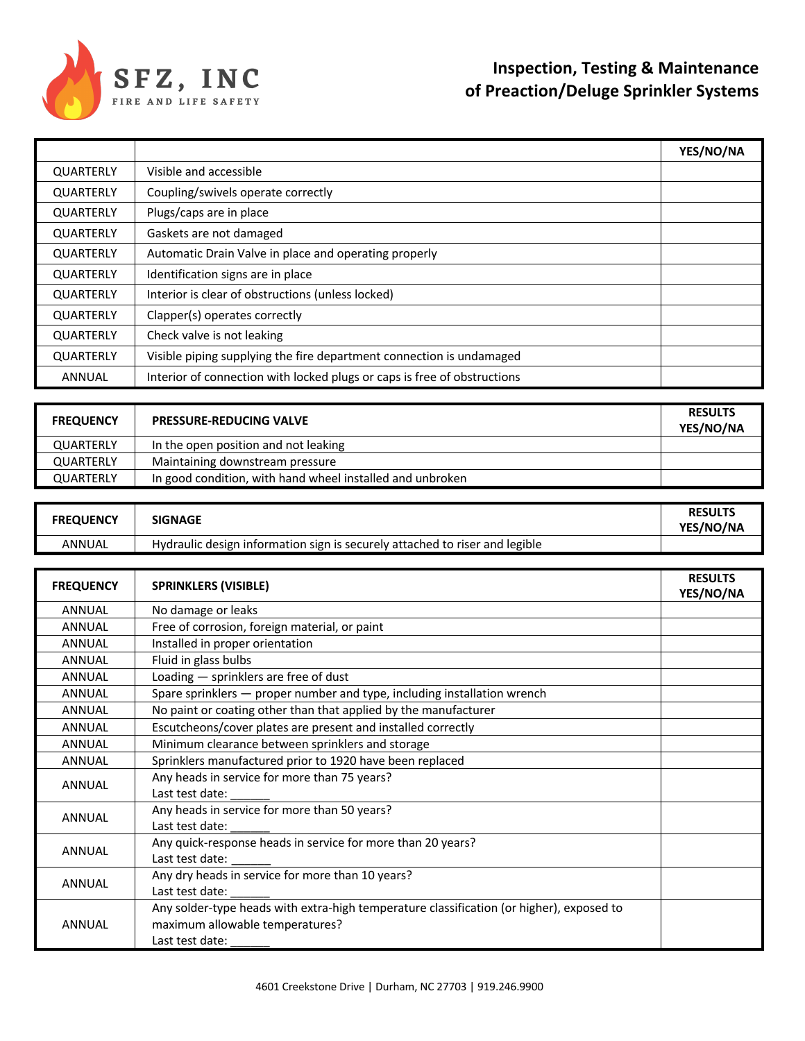

|                  |                                                                          | YES/NO/NA |
|------------------|--------------------------------------------------------------------------|-----------|
| QUARTERLY        | Visible and accessible                                                   |           |
| <b>QUARTERLY</b> | Coupling/swivels operate correctly                                       |           |
| QUARTERLY        | Plugs/caps are in place                                                  |           |
| <b>QUARTERLY</b> | Gaskets are not damaged                                                  |           |
| <b>QUARTERLY</b> | Automatic Drain Valve in place and operating properly                    |           |
| <b>QUARTERLY</b> | Identification signs are in place                                        |           |
| QUARTERLY        | Interior is clear of obstructions (unless locked)                        |           |
| QUARTERLY        | Clapper(s) operates correctly                                            |           |
| QUARTERLY        | Check valve is not leaking                                               |           |
| QUARTERLY        | Visible piping supplying the fire department connection is undamaged     |           |
| <b>ANNUAL</b>    | Interior of connection with locked plugs or caps is free of obstructions |           |

| <b>FREQUENCY</b> | <b>PRESSURE-REDUCING VALVE</b>                            | <b>RESULTS</b><br>YES/NO/NA |
|------------------|-----------------------------------------------------------|-----------------------------|
| <b>QUARTERLY</b> | In the open position and not leaking                      |                             |
| <b>QUARTERLY</b> | Maintaining downstream pressure                           |                             |
| <b>QUARTERLY</b> | In good condition, with hand wheel installed and unbroken |                             |

| <b>FREQUENCY</b> | <b>SIGNAGE</b>                                                              | <b>RESULTS</b><br>YES/NO/NA |
|------------------|-----------------------------------------------------------------------------|-----------------------------|
| ANNUAL           | Hydraulic design information sign is securely attached to riser and legible |                             |

| <b>FREQUENCY</b> | <b>SPRINKLERS (VISIBLE)</b>                                                              | <b>RESULTS</b> |
|------------------|------------------------------------------------------------------------------------------|----------------|
|                  |                                                                                          | YES/NO/NA      |
| <b>ANNUAL</b>    | No damage or leaks                                                                       |                |
| <b>ANNUAL</b>    | Free of corrosion, foreign material, or paint                                            |                |
| <b>ANNUAL</b>    | Installed in proper orientation                                                          |                |
| <b>ANNUAL</b>    | Fluid in glass bulbs                                                                     |                |
| <b>ANNUAL</b>    | Loading - sprinklers are free of dust                                                    |                |
| <b>ANNUAL</b>    | Spare sprinklers - proper number and type, including installation wrench                 |                |
| <b>ANNUAL</b>    | No paint or coating other than that applied by the manufacturer                          |                |
| <b>ANNUAL</b>    | Escutcheons/cover plates are present and installed correctly                             |                |
| <b>ANNUAL</b>    | Minimum clearance between sprinklers and storage                                         |                |
| <b>ANNUAL</b>    | Sprinklers manufactured prior to 1920 have been replaced                                 |                |
| <b>ANNUAL</b>    | Any heads in service for more than 75 years?                                             |                |
|                  | Last test date:                                                                          |                |
| <b>ANNUAL</b>    | Any heads in service for more than 50 years?                                             |                |
|                  | Last test date:                                                                          |                |
| <b>ANNUAL</b>    | Any quick-response heads in service for more than 20 years?                              |                |
|                  | Last test date:                                                                          |                |
| <b>ANNUAL</b>    | Any dry heads in service for more than 10 years?                                         |                |
|                  | Last test date:                                                                          |                |
| ANNUAL           | Any solder-type heads with extra-high temperature classification (or higher), exposed to |                |
|                  | maximum allowable temperatures?                                                          |                |
|                  | Last test date:                                                                          |                |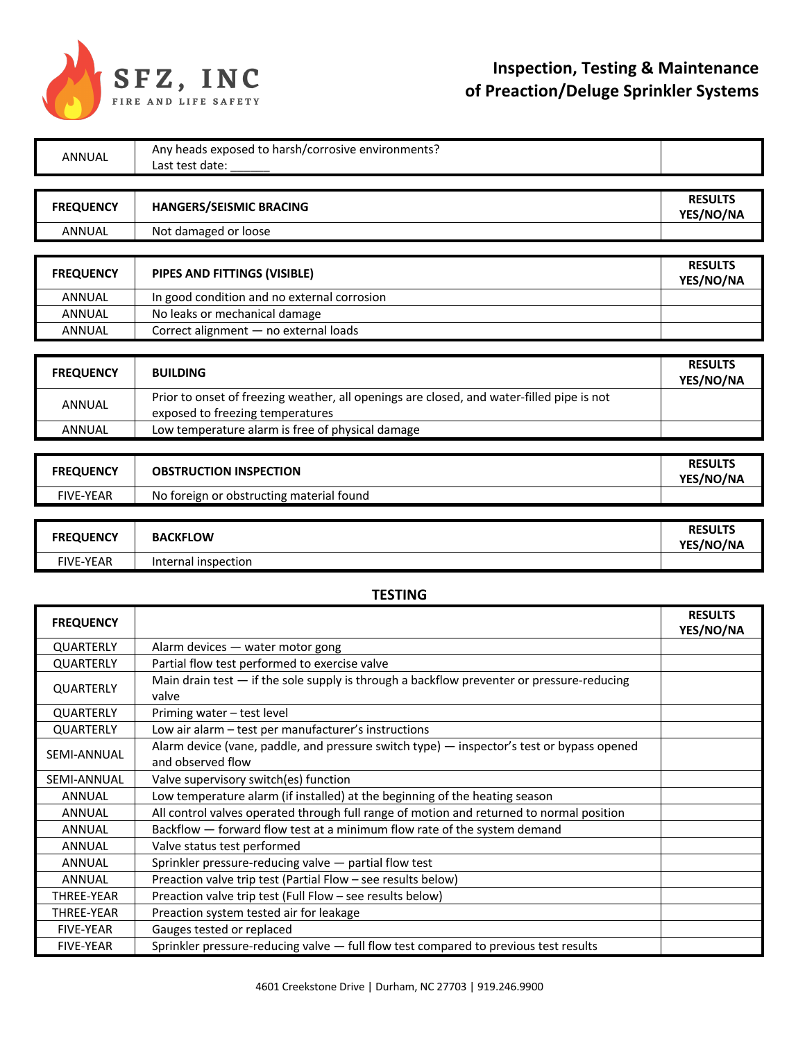

# **Inspection, Testing & Maintenance of Preaction/Deluge Sprinkler Systems**

| <b>ANNUAL</b>           | Any heads exposed to harsh/corrosive environments?                                                                            |                             |
|-------------------------|-------------------------------------------------------------------------------------------------------------------------------|-----------------------------|
|                         | Last test date:                                                                                                               |                             |
|                         |                                                                                                                               |                             |
| <b>FREQUENCY</b>        | <b>HANGERS/SEISMIC BRACING</b>                                                                                                | <b>RESULTS</b><br>YES/NO/NA |
| <b>ANNUAL</b>           | Not damaged or loose                                                                                                          |                             |
|                         |                                                                                                                               |                             |
| <b>FREQUENCY</b>        | PIPES AND FITTINGS (VISIBLE)                                                                                                  | <b>RESULTS</b><br>YES/NO/NA |
| ANNUAL                  | In good condition and no external corrosion                                                                                   |                             |
| <b>ANNUAL</b>           | No leaks or mechanical damage                                                                                                 |                             |
| <b>ANNUAL</b>           | Correct alignment - no external loads                                                                                         |                             |
|                         |                                                                                                                               |                             |
| <b>FREQUENCY</b>        | <b>BUILDING</b>                                                                                                               | <b>RESULTS</b><br>YES/NO/NA |
| ANNUAL                  | Prior to onset of freezing weather, all openings are closed, and water-filled pipe is not<br>exposed to freezing temperatures |                             |
| <b>ANNUAL</b>           | Low temperature alarm is free of physical damage                                                                              |                             |
|                         |                                                                                                                               |                             |
| <b>FREQUENCY</b>        | <b>OBSTRUCTION INSPECTION</b>                                                                                                 | <b>RESULTS</b><br>YES/NO/NA |
| <b>FIVE-YEAR</b>        | No foreign or obstructing material found                                                                                      |                             |
|                         |                                                                                                                               |                             |
|                         |                                                                                                                               |                             |
| <b>FREQUENCY</b>        | <b>BACKFLOW</b>                                                                                                               | <b>RESULTS</b><br>YES/NO/NA |
| <b>FIVE-YEAR</b>        | Internal inspection                                                                                                           |                             |
|                         |                                                                                                                               |                             |
|                         | <b>TESTING</b>                                                                                                                |                             |
| <b>FREQUENCY</b>        |                                                                                                                               | <b>RESULTS</b><br>YES/NO/NA |
| QUARTERLY               | Alarm devices - water motor gong                                                                                              |                             |
| QUARTERLY               | Partial flow test performed to exercise valve                                                                                 |                             |
| <b>QUARTERLY</b>        | Main drain test - if the sole supply is through a backflow preventer or pressure-reducing<br>valve                            |                             |
| QUARTERLY               | Priming water - test level                                                                                                    |                             |
| QUARTERLY               | Low air alarm - test per manufacturer's instructions                                                                          |                             |
| SEMI-ANNUAL             | Alarm device (vane, paddle, and pressure switch type) — inspector's test or bypass opened<br>and observed flow                |                             |
| SEMI-ANNUAL             | Valve supervisory switch(es) function                                                                                         |                             |
| ANNUAL                  |                                                                                                                               |                             |
|                         | Low temperature alarm (if installed) at the beginning of the heating season                                                   |                             |
| ANNUAL                  | All control valves operated through full range of motion and returned to normal position                                      |                             |
| <b>ANNUAL</b>           | Backflow - forward flow test at a minimum flow rate of the system demand                                                      |                             |
| ANNUAL                  | Valve status test performed                                                                                                   |                             |
| <b>ANNUAL</b><br>ANNUAL | Sprinkler pressure-reducing valve - partial flow test<br>Preaction valve trip test (Partial Flow - see results below)         |                             |

FIVE-YEAR Sprinkler pressure-reducing valve  $-$  full flow test compared to previous test results

THREE-YEAR Preaction system tested air for leakage

FIVE-YEAR Gauges tested or replaced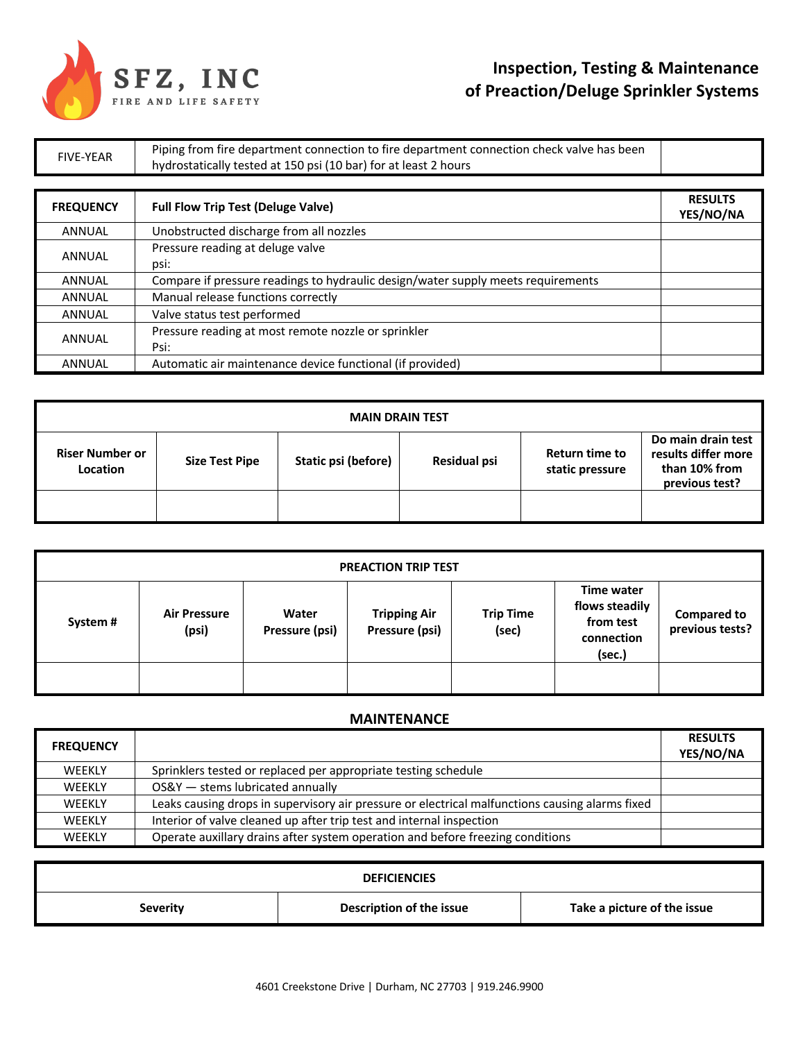

# **Inspection, Testing & Maintenance of Preaction/Deluge Sprinkler Systems**

FIVE-YEAR Piping from fire department connection to fire department connection check valve has been<br>had the department of 450 set (40 kee) for at least 3 keeps. hydrostatically tested at 150 psi (10 bar) for at least 2 hours

| <b>FREQUENCY</b> | <b>Full Flow Trip Test (Deluge Valve)</b>                                        | <b>RESULTS</b><br>YES/NO/NA |
|------------------|----------------------------------------------------------------------------------|-----------------------------|
| <b>ANNUAL</b>    | Unobstructed discharge from all nozzles                                          |                             |
| ANNUAL           | Pressure reading at deluge valve<br>psi:                                         |                             |
| <b>ANNUAL</b>    | Compare if pressure readings to hydraulic design/water supply meets requirements |                             |
| <b>ANNUAL</b>    | Manual release functions correctly                                               |                             |
| <b>ANNUAL</b>    | Valve status test performed                                                      |                             |
| <b>ANNUAL</b>    | Pressure reading at most remote nozzle or sprinkler<br>Psi:                      |                             |
| <b>ANNUAL</b>    | Automatic air maintenance device functional (if provided)                        |                             |

| <b>MAIN DRAIN TEST</b>             |                       |                     |              |                                   |                                                                              |
|------------------------------------|-----------------------|---------------------|--------------|-----------------------------------|------------------------------------------------------------------------------|
| <b>Riser Number or</b><br>Location | <b>Size Test Pipe</b> | Static psi (before) | Residual psi | Return time to<br>static pressure | Do main drain test<br>results differ more<br>than 10% from<br>previous test? |
|                                    |                       |                     |              |                                   |                                                                              |

| <b>PREACTION TRIP TEST</b> |                              |                         |                                       |                           |                                                                   |                                       |
|----------------------------|------------------------------|-------------------------|---------------------------------------|---------------------------|-------------------------------------------------------------------|---------------------------------------|
| System#                    | <b>Air Pressure</b><br>(psi) | Water<br>Pressure (psi) | <b>Tripping Air</b><br>Pressure (psi) | <b>Trip Time</b><br>(sec) | Time water<br>flows steadily<br>from test<br>connection<br>(sec.) | <b>Compared to</b><br>previous tests? |
|                            |                              |                         |                                       |                           |                                                                   |                                       |

#### **MAINTENANCE**

| <b>FREQUENCY</b> |                                                                                                 | <b>RESULTS</b><br>YES/NO/NA |
|------------------|-------------------------------------------------------------------------------------------------|-----------------------------|
| WEEKLY           | Sprinklers tested or replaced per appropriate testing schedule                                  |                             |
| <b>WEEKLY</b>    | OS&Y - stems lubricated annually                                                                |                             |
| <b>WEEKLY</b>    | Leaks causing drops in supervisory air pressure or electrical malfunctions causing alarms fixed |                             |
| <b>WEEKLY</b>    | Interior of valve cleaned up after trip test and internal inspection                            |                             |
| <b>WEEKLY</b>    | Operate auxillary drains after system operation and before freezing conditions                  |                             |

| <b>DEFICIENCIES</b> |                          |                             |  |  |
|---------------------|--------------------------|-----------------------------|--|--|
| Severity            | Description of the issue | Take a picture of the issue |  |  |